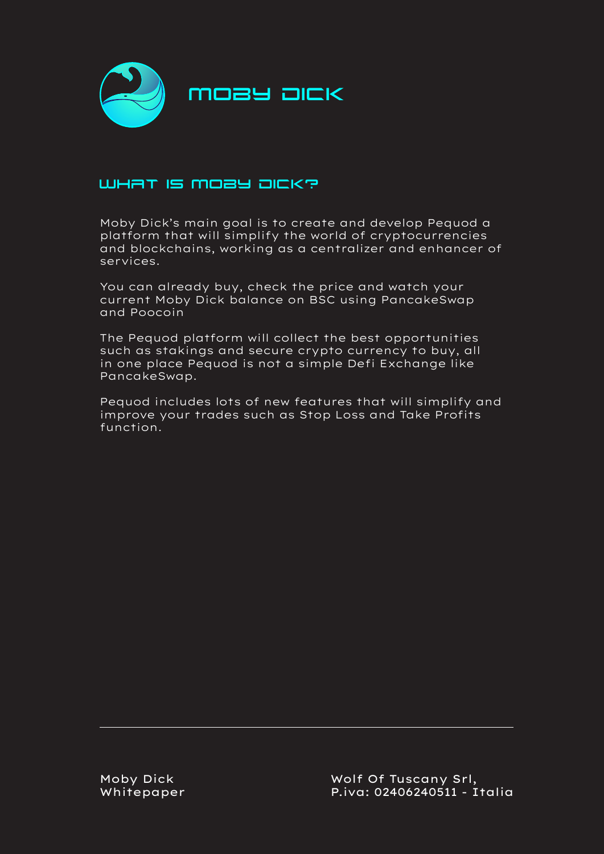

## WHAT IS MOBY DICK?

Moby Dick's main goal is to create and develop Pequod a platform that will simplify the world of cryptocurrencies and blockchains, working as a centralizer and enhancer of services.

You can already buy, check the price and watch your current Moby Dick balance on BSC using PancakeSwap and Poocoin

The Pequod platform will collect the best opportunities such as stakings and secure crypto currency to buy, all in one place Pequod is not a simple Defi Exchange like PancakeSwap.

Pequod includes lots of new features that will simplify and improve your trades such as Stop Loss and Take Profits function.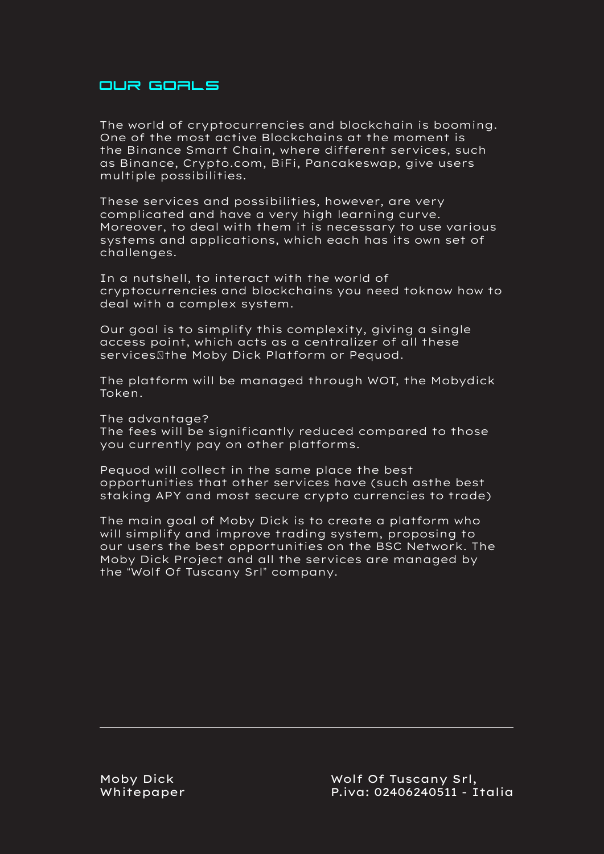#### Our goals

The world of cryptocurrencies and blockchain is booming. One of the most active Blockchains at the moment is the Binance Smart Chain, where different services, such as Binance, Crypto.com, BiFi, Pancakeswap, give users multiple possibilities.

These services and possibilities, however, are very complicated and have a very high learning curve. Moreover, to deal with them it is necessary to use various systems and applications, which each has its own set of challenges.

In a nutshell, to interact with the world of cryptocurrencies and blockchains you need toknow how to deal with a complex system.

Our goal is to simplify this complexity, giving a single access point, which acts as a centralizer of all these services\the Moby Dick Platform or Pequod.

The platform will be managed through WOT, the Mobydick Token.

The advantage?

The fees will be significantly reduced compared to those you currently pay on other platforms.

Pequod will collect in the same place the best opportunities that other services have (such asthe best staking APY and most secure crypto currencies to trade)

The main goal of Moby Dick is to create a platform who will simplify and improve trading system, proposing to our users the best opportunities on the BSC Network. The Moby Dick Project and all the services are managed by the "Wolf Of Tuscany Srl" company.

Moby Dick Whitepaper Wolf Of Tuscany Srl, P.iva: 02406240511 - Italia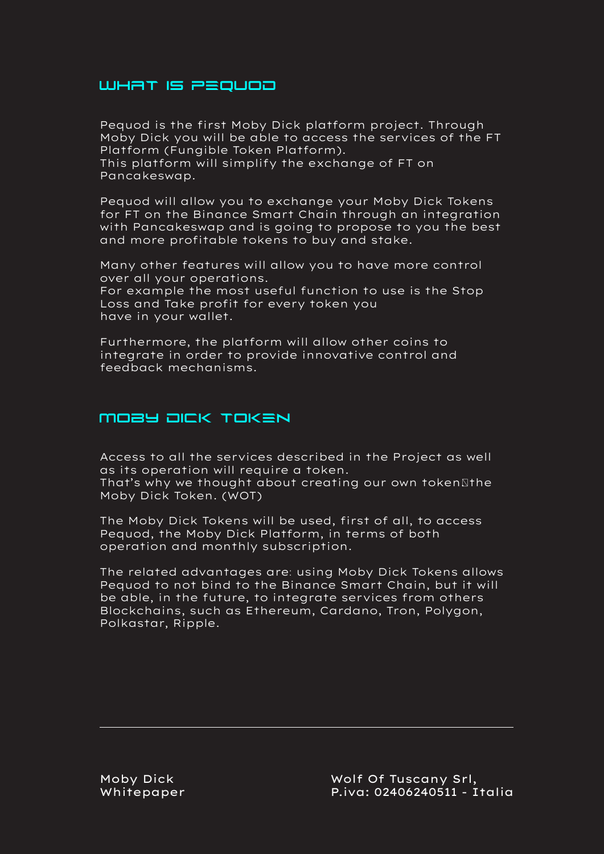### WHAT IS PEQUOD

Pequod is the first Moby Dick platform project. Through Moby Dick you will be able to access the services of the FT Platform (Fungible Token Platform). This platform will simplify the exchange of FT on

Pancakeswap.

Pequod will allow you to exchange your Moby Dick Tokens for FT on the Binance Smart Chain through an integration with Pancakeswap and is going to propose to you the best and more profitable tokens to buy and stake.

Many other features will allow you to have more control over all your operations. For example the most useful function to use is the Stop Loss and Take profit for every token you have in your wallet.

Furthermore, the platform will allow other coins to integrate in order to provide innovative control and feedback mechanisms.

# Moby Dick Token

Access to all the services described in the Project as well as its operation will require a token.

That's why we thought about creating our own token $\mathbb S$ the Moby Dick Token. (WOT)

The Moby Dick Tokens will be used, first of all, to access Pequod, the Moby Dick Platform, in terms of both operation and monthly subscription.

The related advantages are: using Moby Dick Tokens allows Pequod to not bind to the Binance Smart Chain, but it will be able, in the future, to integrate services from others Blockchains, such as Ethereum, Cardano, Tron, Polygon, Polkastar, Ripple.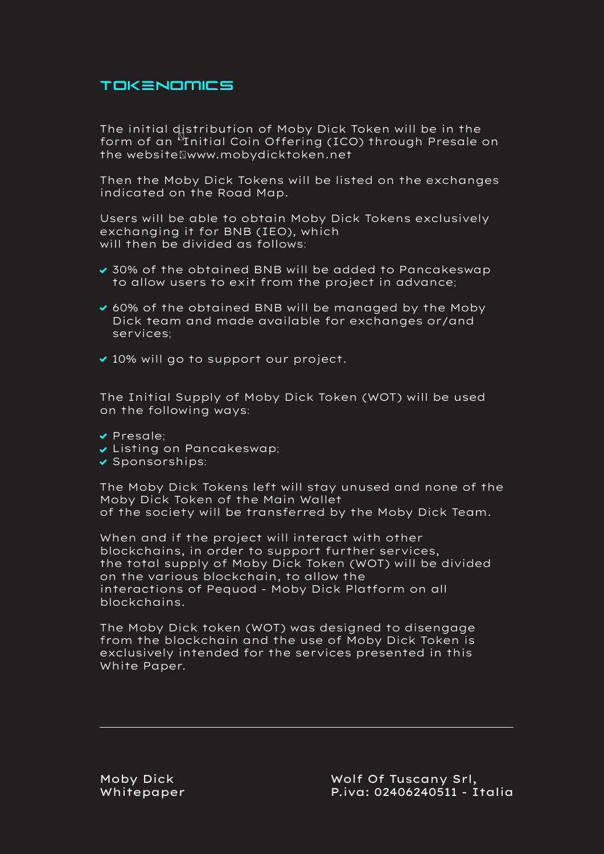## Tokenomics

The initial distribution of Moby Dick Token will be in the form of an <sup>b</sup>Initial Coin Offering (ICO) through Presale on the websiteNwww.mobydicktoken.net

Then the Moby Dick Tokens will be listed on the exchanges indicated on the Road Map.

Users will be able to obtain Moby Dick Tokens exclusively exchanging it for BNB (IEO), which will then be divided as follows:

- 30% of the obtained BNB will be added to Pancakeswap to allow users to exit from the project in advance;
- ◆ 60% of the obtained BNB will be managed by the Moby Dick team and made available for exchanges or/and services;
- ◆ 10% will go to support our project.

The Initial Supply of Moby Dick Token (WOT) will be used on the following ways:

- Presale;
- Listing on Pancakeswap;
- $\checkmark$  Sponsorships:

The Moby Dick Tokens left will stay unused and none of the Moby Dick Token of the Main Wallet of the society will be transferred by the Moby Dick Team.

When and if the project will interact with other blockchains, in order to support further services, the total supply of Moby Dick Token (WOT) will be divided on the various blockchain, to allow the interactions of Pequod - Moby Dick Platform on all blockchains.

The Moby Dick token (WOT) was designed to disengage from the blockchain and the use of Moby Dick Token is exclusively intended for the services presented in this White Paper.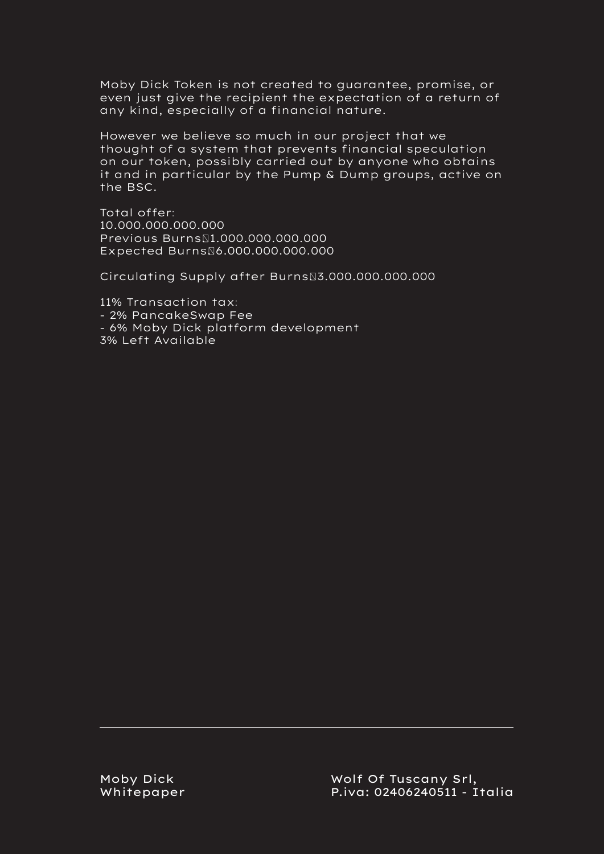Moby Dick Token is not created to guarantee, promise, or even just give the recipient the expectation of a return of any kind, especially of a financial nature.

However we believe so much in our project that we thought of a system that prevents financial speculation on our token, possibly carried out by anyone who obtains it and in particular by the Pump & Dump groups, active on the BSC.

Total offer: 10.000.000.000.000 Previous Burns $\Pi.000.000.000.000$ Expected Burns\6.000.000.000.000

Circulating Supply after Burns\3.000.000.000.000

11% Transaction tax: - 2% PancakeSwap Fee - 6% Moby Dick platform development 3% Left Available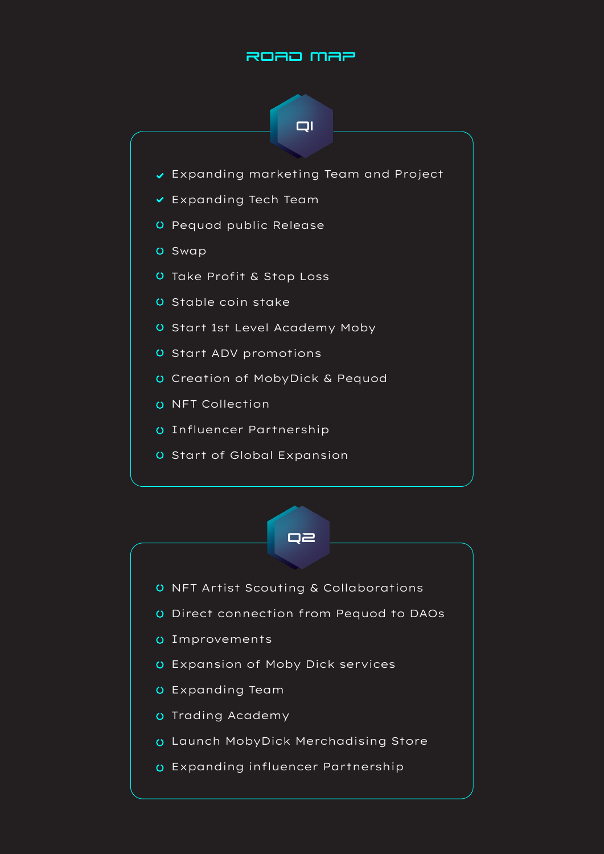## ROAD MAP





- O NFT Artist Scouting & Collaborations
- Direct connection from Pequod to DAOs
- Improvements
- Expansion of Moby Dick services
- Expanding Team
- O Trading Academy
- Launch MobyDick Merchadising Store
- Expanding influencer Partnership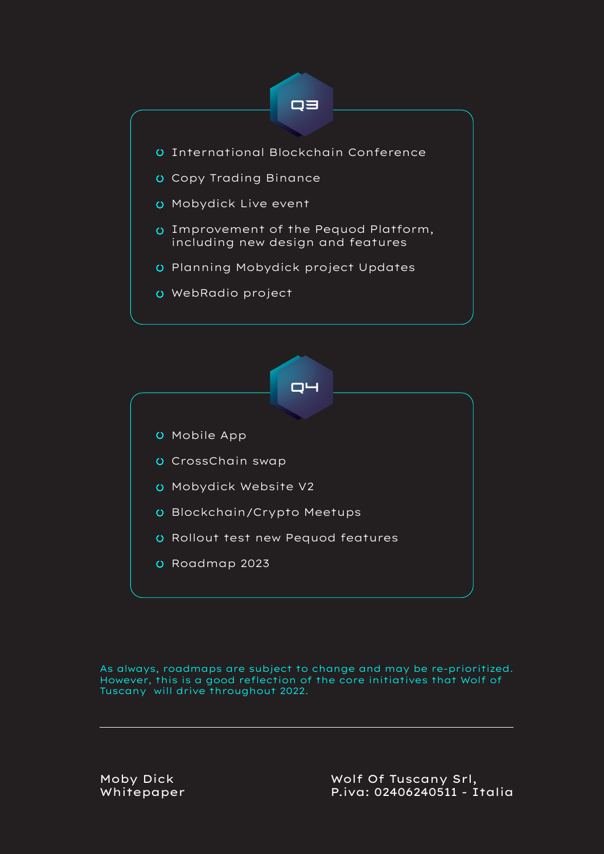



As always, roadmaps are subject to change and may be re-prioritized. However, this is a good reflection of the core initiatives that Wolf of Tuscany will drive throughout 2022.

Moby Dick Whitepaper Wolf Of Tuscany Srl, P.iva: 02406240511 - Italia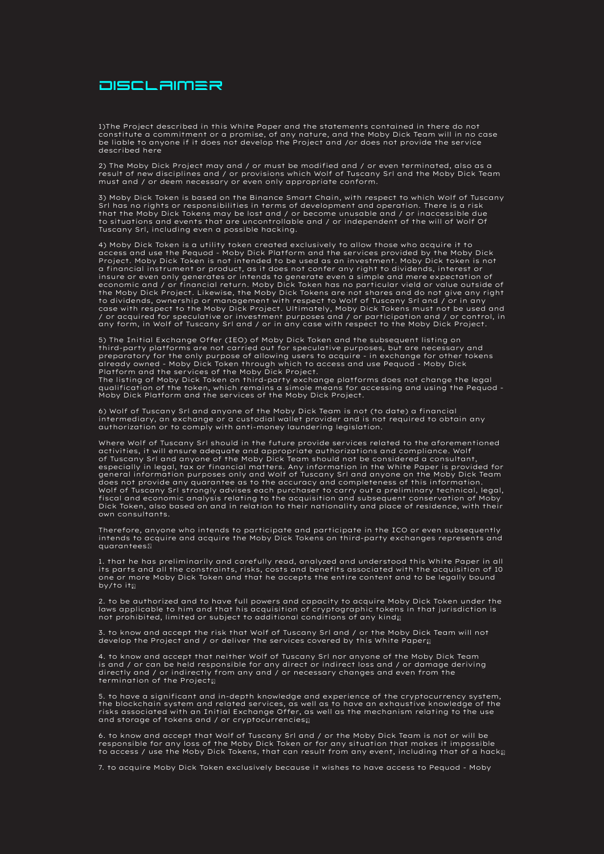

1)The Project described in this White Paper and the statements contained in there do not<br>constitute a commitment or a promise, of any nature, and the Moby Dick Team will in no case<br>be liable to anyone if it does not develo described here

2) The Moby Dick Project may and / or must be modified and / or even terminated, also as a<br>result of new disciplines and / or provisions which Wolf of Tuscany Srl and the Moby Dick Team<br>must and / or deem necessary or even

3) Moby Dick Token is based on the Binance Smart Chain, with respect to which Wolf of Tuscany<br>Srl has no rights or responsibilities in terms of development and operation. There is a risk<br>that the Moby Dick Tokens may be lo Tuscany Srl, including even a possible hacking.

4) Moby Dick Token is a utility token created exclusively to allow those who acquire it to access and use the Pequod - Moby Dick Platform and the services provided by the Moby Dick Project. Moby Dick Token is not intended to be used as an investment. Moby Dick token is not a financial instrument or product, as it does not confer any right to dividends, interest or insure or even only generates or intends to generate even a simple and mere expectation of economic and / or financial return. Moby Dick Token has no particular vield or value outside of<br>the Moby Dick Project. Likewise, the Moby Dick Tokens are not shares and do not give any right<br>to dividends, ownership or mana case with respect to the Moby Dick Project. Ultimately, Moby Dick Tokens must not be used and / or acquired for speculative or investment purposes and / or participation and / or control, in any form, in Wolf of Tuscany Srl and / or in any case with respect to the Moby Dick Project.

5) The Initial Exchange Offer (IEO) of Moby Dick Token and the subsequent listing on third-party platforms are not carried out for speculative purposes, but are necessary and preparatory for the only purpose of allowing users to acquire - in exchange for other tokens already owned - Moby Dick Token through which to access and use Pequod - Moby Dick<br>Platform and the services of the Moby Dick Project.<br>The listing of Moby Dick Token on third-party exchange platforms does not change the le

qualification of the token, which remains a simole means for accessing and using the Pequod - Moby Dick Platform and the services of the Moby Dick Project.

6) Wolf of Tuscany Srl and anyone of the Moby Dick Team is not (to date) a financial<br>intermediary, an exchange or a custodial wallet provider and is not required to obtain any<br>authorization or to comply with anti-money lau

Where Wolf of Tuscany Srl should in the future provide services related to the aforementioned activities, it will ensure adequate and appropriate authorizations and compliance. Wolf<br>of Tuscany Srl and anyone of the Moby Dick Team should not be considered a consultant,<br>especially in legal, tax or financial matters. does not provide any quarantee as to the accuracy and completeness of this information.<br>Wolf of Tuscany Srl strongly advises each purchaser to carry out a preliminary technical, legal,<br>fiscal and economic analysis relating

Therefore, anyone who intends to participate and participate in the ICO or even subsequently intends to acquire and acquire the Moby Dick Tokens on third-party exchanges represents and quarantees:

1. that he has preliminarily and carefully read, analyzed and understood this White Paper in all its parts and all the constraints, risks, costs and benefits associated with the acquisition of 10 one or more Moby Dick Token and that he accepts the entire content and to be legally bound by/to its

2. to be authorized and to have full powers and capacity to acquire Moby Dick Token under the laws applicable to him and that his acquisition of cryptographic tokens in that jurisdiction is not prohibited, limited or subject to additional conditions of any kind $\mathfrak{g}$ 

3. to know and accept the risk that Wolf of Tuscany Srl and / or the Moby Dick Team will not develop the Project and / or deliver the services covered by this White Paper<sub>N</sub>

4. to know and accept that neither Wolf of Tuscany Srl nor anyone of the Moby Dick Team<br>is and / or can be held responsible for any direct or indirect loss and / or damage deriving<br>directly and / or indirectly from any and

5. to have a significant and in-depth knowledge and experience of the cryptocurrency system,<br>the blockchain system and related services, as well as to have an exhaustive knowledge of the<br>risks associated with an Initial Ex and storage of tokens and / or cryptocurrencies

6. to know and accept that Wolf of Tuscany Srl and / or the Moby Dick Team is not or will be<br>responsible for any loss of the Moby Dick Token or for any situation that makes it impossible<br>to access / use the Moby Dick Token

7. to acquire Moby Dick Token exclusively because it wishes to have access to Pequod - Moby